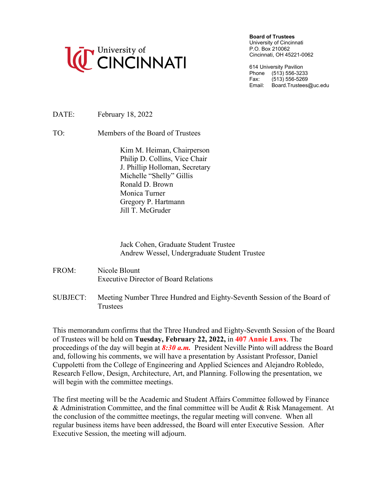

**Board of Trustees**

University of Cincinnati P.O. Box 210062 Cincinnati, OH 45221-0062

614 University Pavilion Phone (513) 556-3233<br>Fax: (513) 556-5269  $(513) 556 - 5269$ Email: Board.Trustees@uc.edu

DATE: February 18, 2022

TO: Members of the Board of Trustees

Kim M. Heiman, Chairperson Philip D. Collins, Vice Chair J. Phillip Holloman, Secretary Michelle "Shelly" Gillis Ronald D. Brown Monica Turner Gregory P. Hartmann Jill T. McGruder

Jack Cohen, Graduate Student Trustee Andrew Wessel, Undergraduate Student Trustee

- FROM: Nicole Blount Executive Director of Board Relations
- SUBJECT: Meeting Number Three Hundred and Eighty-Seventh Session of the Board of **Trustees**

This memorandum confirms that the Three Hundred and Eighty-Seventh Session of the Board of Trustees will be held on **Tuesday, February 22, 2022,** in **407 Annie Laws**. The proceedings of the day will begin at *8:30 a.m.* President Neville Pinto will address the Board and, following his comments, we will have a presentation by Assistant Professor, Daniel Cuppoletti from the College of Engineering and Applied Sciences and Alejandro Robledo, Research Fellow, Design, Architecture, Art, and Planning. Following the presentation, we will begin with the committee meetings.

The first meeting will be the Academic and Student Affairs Committee followed by Finance & Administration Committee, and the final committee will be Audit & Risk Management. At the conclusion of the committee meetings, the regular meeting will convene. When all regular business items have been addressed, the Board will enter Executive Session. After Executive Session, the meeting will adjourn.